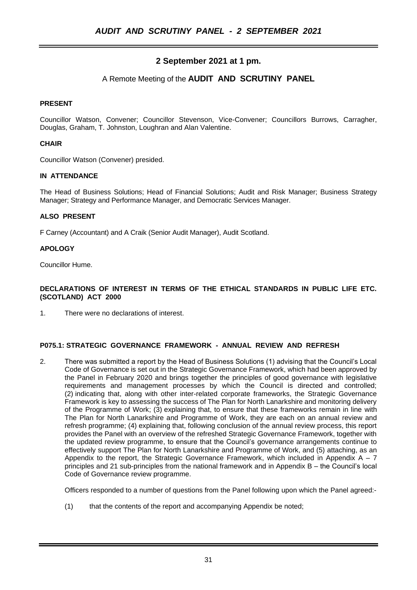# **2 September 2021 at 1 pm.**

## A Remote Meeting of the **AUDIT AND SCRUTINY PANEL**

## **PRESENT**

Councillor Watson, Convener; Councillor Stevenson, Vice-Convener; Councillors Burrows, Carragher, Douglas, Graham, T. Johnston, Loughran and Alan Valentine.

## **CHAIR**

Councillor Watson (Convener) presided.

#### **IN ATTENDANCE**

The Head of Business Solutions; Head of Financial Solutions; Audit and Risk Manager; Business Strategy Manager; Strategy and Performance Manager, and Democratic Services Manager.

## **ALSO PRESENT**

F Carney (Accountant) and A Craik (Senior Audit Manager), Audit Scotland.

#### **APOLOGY**

Councillor Hume.

#### **DECLARATIONS OF INTEREST IN TERMS OF THE ETHICAL STANDARDS IN PUBLIC LIFE ETC. (SCOTLAND) ACT 2000**

1. There were no declarations of interest.

#### **P075.1: STRATEGIC GOVERNANCE FRAMEWORK - ANNUAL REVIEW AND REFRESH**

2. There was submitted a report by the Head of Business Solutions (1) advising that the Council's Local Code of Governance is set out in the Strategic Governance Framework, which had been approved by the Panel in February 2020 and brings together the principles of good governance with legislative requirements and management processes by which the Council is directed and controlled; (2) indicating that, along with other inter-related corporate frameworks, the Strategic Governance Framework is key to assessing the success of The Plan for North Lanarkshire and monitoring delivery of the Programme of Work; (3) explaining that, to ensure that these frameworks remain in line with The Plan for North Lanarkshire and Programme of Work, they are each on an annual review and refresh programme; (4) explaining that, following conclusion of the annual review process, this report provides the Panel with an overview of the refreshed Strategic Governance Framework, together with the updated review programme, to ensure that the Council's governance arrangements continue to effectively support The Plan for North Lanarkshire and Programme of Work, and (5) attaching, as an Appendix to the report, the Strategic Governance Framework, which included in Appendix  $A - 7$ principles and 21 sub-principles from the national framework and in Appendix B – the Council's local Code of Governance review programme.

Officers responded to a number of questions from the Panel following upon which the Panel agreed:-

(1) that the contents of the report and accompanying Appendix be noted;